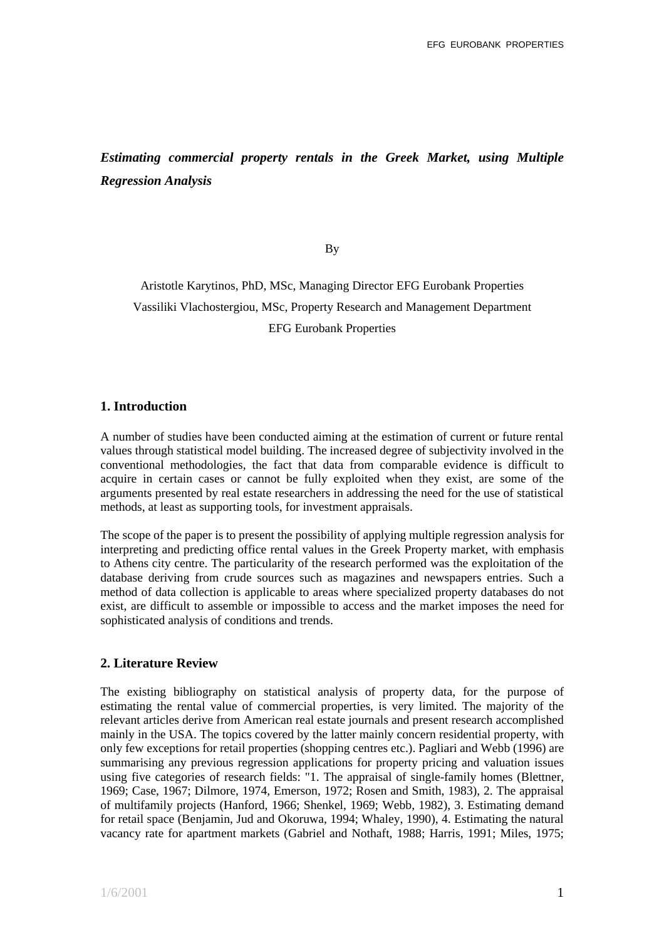# *Estimating commercial property rentals in the Greek Market, using Multiple Regression Analysis*

By

Aristotle Karytinos, PhD, MSc, Managing Director EFG Eurobank Properties Vassiliki Vlachostergiou, MSc, Property Research and Management Department EFG Eurobank Properties

## **1. Introduction**

A number of studies have been conducted aiming at the estimation of current or future rental values through statistical model building. The increased degree of subjectivity involved in the conventional methodologies, the fact that data from comparable evidence is difficult to acquire in certain cases or cannot be fully exploited when they exist, are some of the arguments presented by real estate researchers in addressing the need for the use of statistical methods, at least as supporting tools, for investment appraisals.

The scope of the paper is to present the possibility of applying multiple regression analysis for interpreting and predicting office rental values in the Greek Property market, with emphasis to Athens city centre. The particularity of the research performed was the exploitation of the database deriving from crude sources such as magazines and newspapers entries. Such a method of data collection is applicable to areas where specialized property databases do not exist, are difficult to assemble or impossible to access and the market imposes the need for sophisticated analysis of conditions and trends.

## **2. Literature Review**

The existing bibliography on statistical analysis of property data, for the purpose of estimating the rental value of commercial properties, is very limited. The majority of the relevant articles derive from American real estate journals and present research accomplished mainly in the USA. The topics covered by the latter mainly concern residential property, with only few exceptions for retail properties (shopping centres etc.). Pagliari and Webb (1996) are summarising any previous regression applications for property pricing and valuation issues using five categories of research fields: "1. The appraisal of single-family homes (Blettner, 1969; Case, 1967; Dilmore, 1974, Emerson, 1972; Rosen and Smith, 1983), 2. The appraisal of multifamily projects (Hanford, 1966; Shenkel, 1969; Webb, 1982), 3. Estimating demand for retail space (Benjamin, Jud and Okoruwa, 1994; Whaley, 1990), 4. Estimating the natural vacancy rate for apartment markets (Gabriel and Nothaft, 1988; Harris, 1991; Miles, 1975;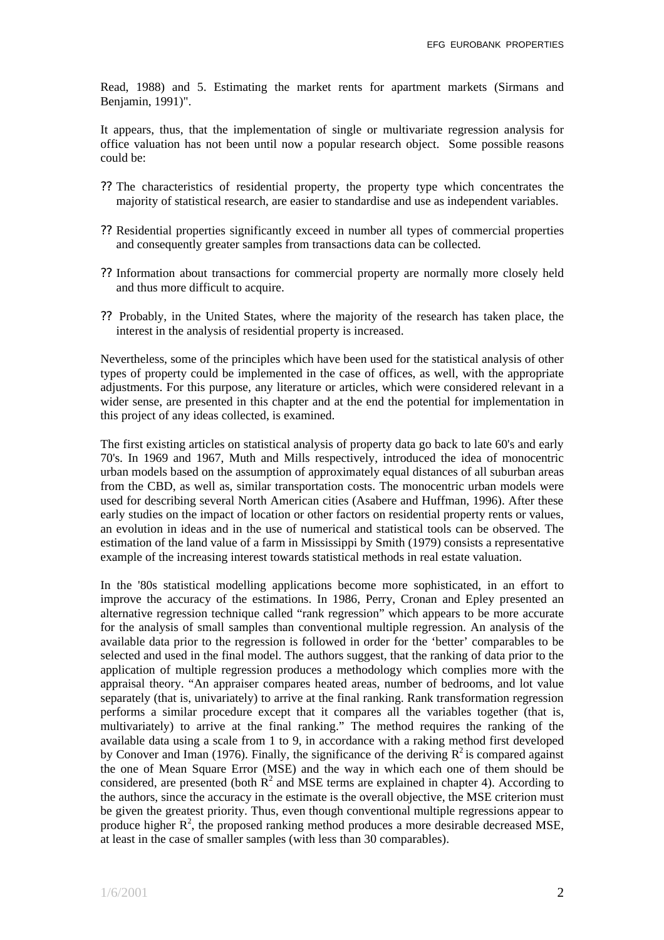Read, 1988) and 5. Estimating the market rents for apartment markets (Sirmans and Benjamin, 1991)".

It appears, thus, that the implementation of single or multivariate regression analysis for office valuation has not been until now a popular research object. Some possible reasons could be:

- ?? The characteristics of residential property, the property type which concentrates the majority of statistical research, are easier to standardise and use as independent variables.
- ?? Residential properties significantly exceed in number all types of commercial properties and consequently greater samples from transactions data can be collected.
- ?? Information about transactions for commercial property are normally more closely held and thus more difficult to acquire.
- ?? Probably, in the United States, where the majority of the research has taken place, the interest in the analysis of residential property is increased.

Nevertheless, some of the principles which have been used for the statistical analysis of other types of property could be implemented in the case of offices, as well, with the appropriate adjustments. For this purpose, any literature or articles, which were considered relevant in a wider sense, are presented in this chapter and at the end the potential for implementation in this project of any ideas collected, is examined.

The first existing articles on statistical analysis of property data go back to late 60's and early 70's. In 1969 and 1967, Muth and Mills respectively, introduced the idea of monocentric urban models based on the assumption of approximately equal distances of all suburban areas from the CBD, as well as, similar transportation costs. The monocentric urban models were used for describing several North American cities (Asabere and Huffman, 1996). After these early studies on the impact of location or other factors on residential property rents or values, an evolution in ideas and in the use of numerical and statistical tools can be observed. The estimation of the land value of a farm in Mississippi by Smith (1979) consists a representative example of the increasing interest towards statistical methods in real estate valuation.

In the '80s statistical modelling applications become more sophisticated, in an effort to improve the accuracy of the estimations. In 1986, Perry, Cronan and Epley presented an alternative regression technique called "rank regression" which appears to be more accurate for the analysis of small samples than conventional multiple regression. An analysis of the available data prior to the regression is followed in order for the 'better' comparables to be selected and used in the final model. The authors suggest, that the ranking of data prior to the application of multiple regression produces a methodology which complies more with the appraisal theory. "An appraiser compares heated areas, number of bedrooms, and lot value separately (that is, univariately) to arrive at the final ranking. Rank transformation regression performs a similar procedure except that it compares all the variables together (that is, multivariately) to arrive at the final ranking." The method requires the ranking of the available data using a scale from 1 to 9, in accordance with a raking method first developed by Conover and Iman (1976). Finally, the significance of the deriving  $R^2$  is compared against the one of Mean Square Error (MSE) and the way in which each one of them should be considered, are presented (both  $\mathbb{R}^2$  and MSE terms are explained in chapter 4). According to the authors, since the accuracy in the estimate is the overall objective, the MSE criterion must be given the greatest priority. Thus, even though conventional multiple regressions appear to produce higher  $\mathbb{R}^2$ , the proposed ranking method produces a more desirable decreased MSE, at least in the case of smaller samples (with less than 30 comparables).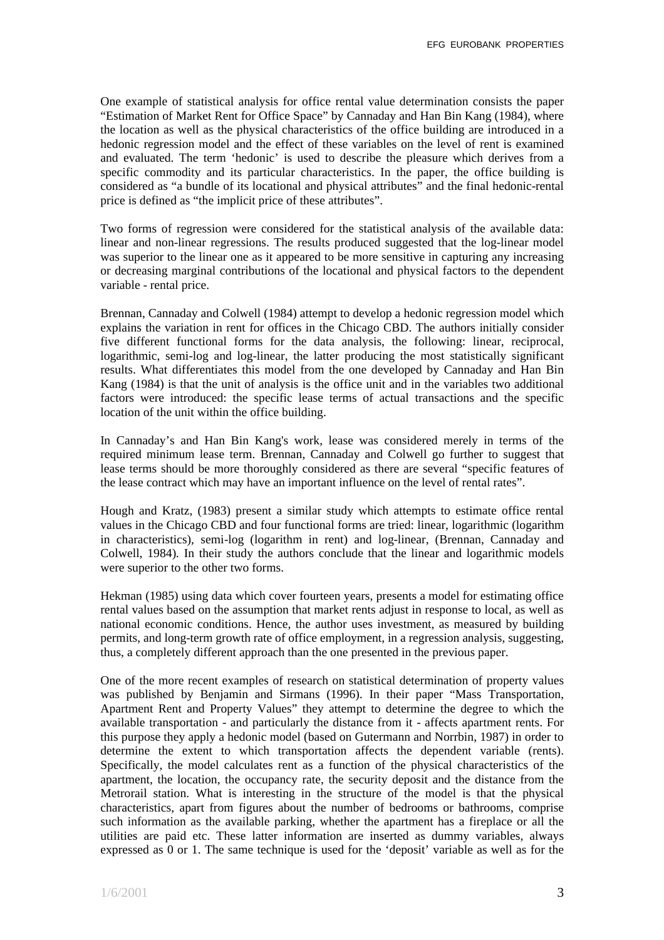One example of statistical analysis for office rental value determination consists the paper "Estimation of Market Rent for Office Space" by Cannaday and Han Bin Kang (1984), where the location as well as the physical characteristics of the office building are introduced in a hedonic regression model and the effect of these variables on the level of rent is examined and evaluated. The term 'hedonic' is used to describe the pleasure which derives from a specific commodity and its particular characteristics. In the paper, the office building is considered as "a bundle of its locational and physical attributes" and the final hedonic-rental price is defined as "the implicit price of these attributes".

Two forms of regression were considered for the statistical analysis of the available data: linear and non-linear regressions. The results produced suggested that the log-linear model was superior to the linear one as it appeared to be more sensitive in capturing any increasing or decreasing marginal contributions of the locational and physical factors to the dependent variable - rental price.

Brennan, Cannaday and Colwell (1984) attempt to develop a hedonic regression model which explains the variation in rent for offices in the Chicago CBD. The authors initially consider five different functional forms for the data analysis, the following: linear, reciprocal, logarithmic, semi-log and log-linear, the latter producing the most statistically significant results. What differentiates this model from the one developed by Cannaday and Han Bin Kang (1984) is that the unit of analysis is the office unit and in the variables two additional factors were introduced: the specific lease terms of actual transactions and the specific location of the unit within the office building.

In Cannaday's and Han Bin Kang's work, lease was considered merely in terms of the required minimum lease term. Brennan, Cannaday and Colwell go further to suggest that lease terms should be more thoroughly considered as there are several "specific features of the lease contract which may have an important influence on the level of rental rates".

Hough and Kratz, (1983) present a similar study which attempts to estimate office rental values in the Chicago CBD and four functional forms are tried: linear, logarithmic (logarithm in characteristics), semi-log (logarithm in rent) and log-linear, (Brennan, Cannaday and Colwell, 1984)*.* In their study the authors conclude that the linear and logarithmic models were superior to the other two forms.

Hekman (1985) using data which cover fourteen years, presents a model for estimating office rental values based on the assumption that market rents adjust in response to local, as well as national economic conditions. Hence, the author uses investment, as measured by building permits, and long-term growth rate of office employment, in a regression analysis, suggesting, thus, a completely different approach than the one presented in the previous paper.

One of the more recent examples of research on statistical determination of property values was published by Benjamin and Sirmans (1996). In their paper "Mass Transportation, Apartment Rent and Property Values" they attempt to determine the degree to which the available transportation - and particularly the distance from it - affects apartment rents. For this purpose they apply a hedonic model (based on Gutermann and Norrbin, 1987) in order to determine the extent to which transportation affects the dependent variable (rents). Specifically, the model calculates rent as a function of the physical characteristics of the apartment, the location, the occupancy rate, the security deposit and the distance from the Metrorail station. What is interesting in the structure of the model is that the physical characteristics, apart from figures about the number of bedrooms or bathrooms, comprise such information as the available parking, whether the apartment has a fireplace or all the utilities are paid etc. These latter information are inserted as dummy variables, always expressed as 0 or 1. The same technique is used for the 'deposit' variable as well as for the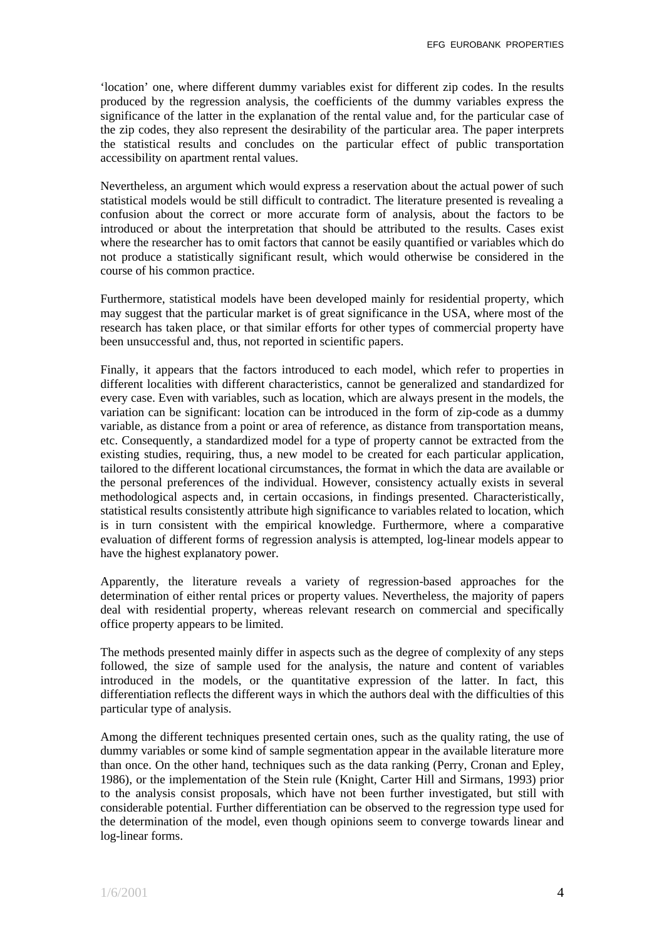'location' one, where different dummy variables exist for different zip codes. In the results produced by the regression analysis, the coefficients of the dummy variables express the significance of the latter in the explanation of the rental value and, for the particular case of the zip codes, they also represent the desirability of the particular area. The paper interprets the statistical results and concludes on the particular effect of public transportation accessibility on apartment rental values.

Nevertheless, an argument which would express a reservation about the actual power of such statistical models would be still difficult to contradict. The literature presented is revealing a confusion about the correct or more accurate form of analysis, about the factors to be introduced or about the interpretation that should be attributed to the results. Cases exist where the researcher has to omit factors that cannot be easily quantified or variables which do not produce a statistically significant result, which would otherwise be considered in the course of his common practice.

Furthermore, statistical models have been developed mainly for residential property, which may suggest that the particular market is of great significance in the USA, where most of the research has taken place, or that similar efforts for other types of commercial property have been unsuccessful and, thus, not reported in scientific papers.

Finally, it appears that the factors introduced to each model, which refer to properties in different localities with different characteristics, cannot be generalized and standardized for every case. Even with variables, such as location, which are always present in the models, the variation can be significant: location can be introduced in the form of zip-code as a dummy variable, as distance from a point or area of reference, as distance from transportation means, etc. Consequently, a standardized model for a type of property cannot be extracted from the existing studies, requiring, thus, a new model to be created for each particular application, tailored to the different locational circumstances, the format in which the data are available or the personal preferences of the individual. However, consistency actually exists in several methodological aspects and, in certain occasions, in findings presented. Characteristically, statistical results consistently attribute high significance to variables related to location, which is in turn consistent with the empirical knowledge. Furthermore, where a comparative evaluation of different forms of regression analysis is attempted, log-linear models appear to have the highest explanatory power.

Apparently, the literature reveals a variety of regression-based approaches for the determination of either rental prices or property values. Nevertheless, the majority of papers deal with residential property, whereas relevant research on commercial and specifically office property appears to be limited.

The methods presented mainly differ in aspects such as the degree of complexity of any steps followed, the size of sample used for the analysis, the nature and content of variables introduced in the models, or the quantitative expression of the latter. In fact, this differentiation reflects the different ways in which the authors deal with the difficulties of this particular type of analysis.

Among the different techniques presented certain ones, such as the quality rating, the use of dummy variables or some kind of sample segmentation appear in the available literature more than once. On the other hand, techniques such as the data ranking (Perry, Cronan and Epley, 1986), or the implementation of the Stein rule (Knight, Carter Hill and Sirmans, 1993) prior to the analysis consist proposals, which have not been further investigated, but still with considerable potential. Further differentiation can be observed to the regression type used for the determination of the model, even though opinions seem to converge towards linear and log-linear forms.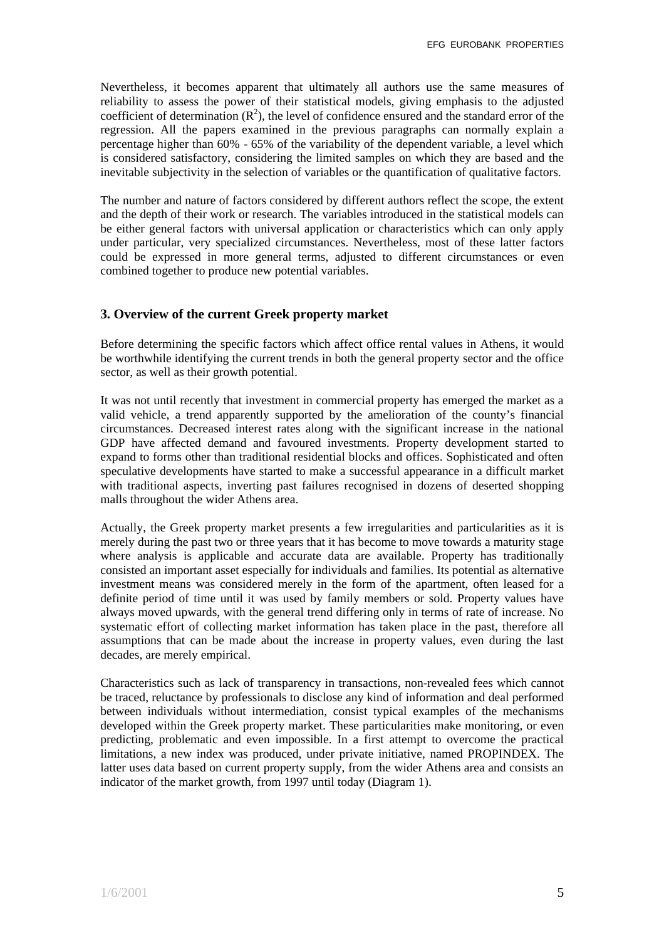Nevertheless, it becomes apparent that ultimately all authors use the same measures of reliability to assess the power of their statistical models, giving emphasis to the adjusted coefficient of determination  $(R^2)$ , the level of confidence ensured and the standard error of the regression. All the papers examined in the previous paragraphs can normally explain a percentage higher than 60% - 65% of the variability of the dependent variable, a level which is considered satisfactory, considering the limited samples on which they are based and the inevitable subjectivity in the selection of variables or the quantification of qualitative factors.

The number and nature of factors considered by different authors reflect the scope, the extent and the depth of their work or research. The variables introduced in the statistical models can be either general factors with universal application or characteristics which can only apply under particular, very specialized circumstances. Nevertheless, most of these latter factors could be expressed in more general terms, adjusted to different circumstances or even combined together to produce new potential variables.

## **3. Overview of the current Greek property market**

Before determining the specific factors which affect office rental values in Athens, it would be worthwhile identifying the current trends in both the general property sector and the office sector, as well as their growth potential.

It was not until recently that investment in commercial property has emerged the market as a valid vehicle, a trend apparently supported by the amelioration of the county's financial circumstances. Decreased interest rates along with the significant increase in the national GDP have affected demand and favoured investments. Property development started to expand to forms other than traditional residential blocks and offices. Sophisticated and often speculative developments have started to make a successful appearance in a difficult market with traditional aspects, inverting past failures recognised in dozens of deserted shopping malls throughout the wider Athens area.

Actually, the Greek property market presents a few irregularities and particularities as it is merely during the past two or three years that it has become to move towards a maturity stage where analysis is applicable and accurate data are available. Property has traditionally consisted an important asset especially for individuals and families. Its potential as alternative investment means was considered merely in the form of the apartment, often leased for a definite period of time until it was used by family members or sold. Property values have always moved upwards, with the general trend differing only in terms of rate of increase. No systematic effort of collecting market information has taken place in the past, therefore all assumptions that can be made about the increase in property values, even during the last decades, are merely empirical.

Characteristics such as lack of transparency in transactions, non-revealed fees which cannot be traced, reluctance by professionals to disclose any kind of information and deal performed between individuals without intermediation, consist typical examples of the mechanisms developed within the Greek property market. These particularities make monitoring, or even predicting, problematic and even impossible. In a first attempt to overcome the practical limitations, a new index was produced, under private initiative, named PROPINDEX. The latter uses data based on current property supply, from the wider Athens area and consists an indicator of the market growth, from 1997 until today (Diagram 1).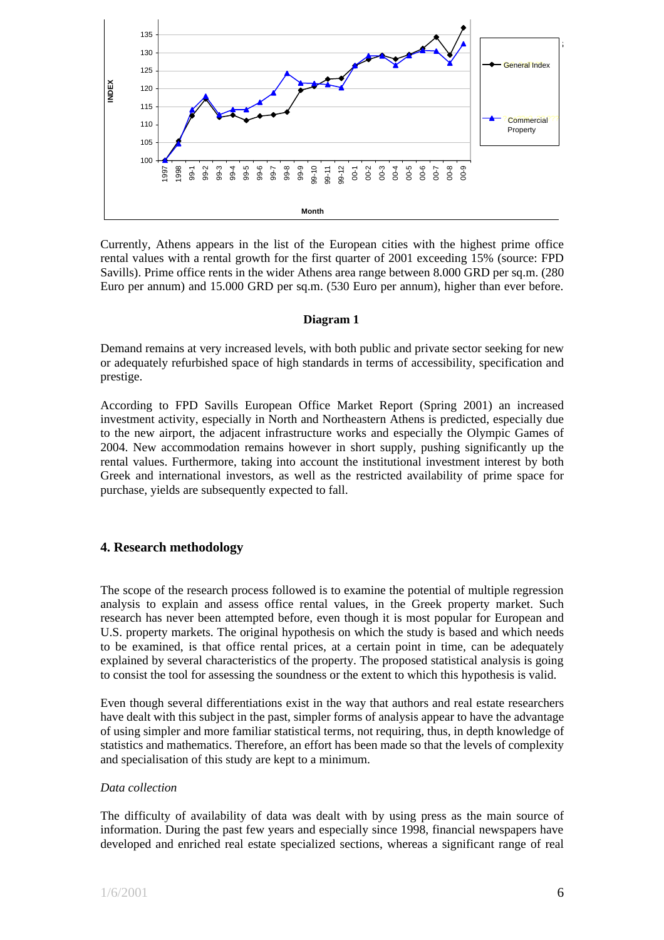

Currently, Athens appears in the list of the European cities with the highest prime office rental values with a rental growth for the first quarter of 2001 exceeding 15% (source: FPD Savills). Prime office rents in the wider Athens area range between 8.000 GRD per sq.m. (280 Euro per annum) and 15.000 GRD per sq.m. (530 Euro per annum), higher than ever before.

#### **Diagram 1**

Demand remains at very increased levels, with both public and private sector seeking for new or adequately refurbished space of high standards in terms of accessibility, specification and prestige.

According to FPD Savills European Office Market Report (Spring 2001) an increased investment activity, especially in North and Northeastern Athens is predicted, especially due to the new airport, the adjacent infrastructure works and especially the Olympic Games of 2004. New accommodation remains however in short supply, pushing significantly up the rental values. Furthermore, taking into account the institutional investment interest by both Greek and international investors, as well as the restricted availability of prime space for purchase, yields are subsequently expected to fall.

## **4. Research methodology**

The scope of the research process followed is to examine the potential of multiple regression analysis to explain and assess office rental values, in the Greek property market. Such research has never been attempted before, even though it is most popular for European and U.S. property markets. The original hypothesis on which the study is based and which needs to be examined, is that office rental prices, at a certain point in time, can be adequately explained by several characteristics of the property. The proposed statistical analysis is going to consist the tool for assessing the soundness or the extent to which this hypothesis is valid.

Even though several differentiations exist in the way that authors and real estate researchers have dealt with this subject in the past, simpler forms of analysis appear to have the advantage of using simpler and more familiar statistical terms, not requiring, thus, in depth knowledge of statistics and mathematics. Therefore, an effort has been made so that the levels of complexity and specialisation of this study are kept to a minimum.

## *Data collection*

The difficulty of availability of data was dealt with by using press as the main source of information. During the past few years and especially since 1998, financial newspapers have developed and enriched real estate specialized sections, whereas a significant range of real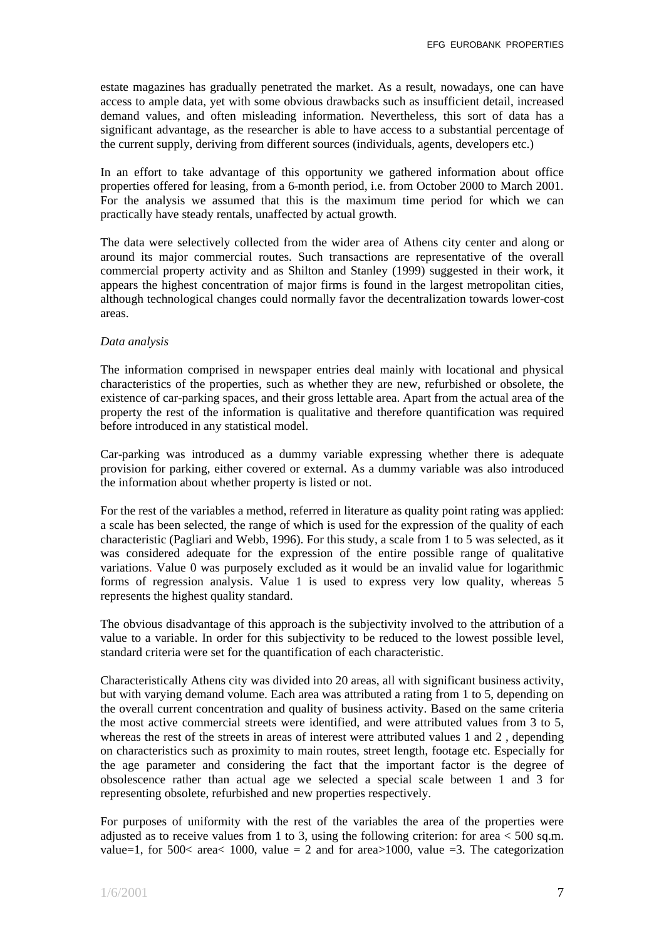estate magazines has gradually penetrated the market. As a result, nowadays, one can have access to ample data, yet with some obvious drawbacks such as insufficient detail, increased demand values, and often misleading information. Nevertheless, this sort of data has a significant advantage, as the researcher is able to have access to a substantial percentage of the current supply, deriving from different sources (individuals, agents, developers etc.)

In an effort to take advantage of this opportunity we gathered information about office properties offered for leasing, from a 6-month period, i.e. from October 2000 to March 2001. For the analysis we assumed that this is the maximum time period for which we can practically have steady rentals, unaffected by actual growth.

The data were selectively collected from the wider area of Athens city center and along or around its major commercial routes. Such transactions are representative of the overall commercial property activity and as Shilton and Stanley (1999) suggested in their work, it appears the highest concentration of major firms is found in the largest metropolitan cities, although technological changes could normally favor the decentralization towards lower-cost areas.

#### *Data analysis*

The information comprised in newspaper entries deal mainly with locational and physical characteristics of the properties, such as whether they are new, refurbished or obsolete, the existence of car-parking spaces, and their gross lettable area. Apart from the actual area of the property the rest of the information is qualitative and therefore quantification was required before introduced in any statistical model.

Car-parking was introduced as a dummy variable expressing whether there is adequate provision for parking, either covered or external. As a dummy variable was also introduced the information about whether property is listed or not.

For the rest of the variables a method, referred in literature as quality point rating was applied: a scale has been selected, the range of which is used for the expression of the quality of each characteristic (Pagliari and Webb, 1996). For this study, a scale from 1 to 5 was selected, as it was considered adequate for the expression of the entire possible range of qualitative variations. Value 0 was purposely excluded as it would be an invalid value for logarithmic forms of regression analysis. Value 1 is used to express very low quality, whereas 5 represents the highest quality standard.

The obvious disadvantage of this approach is the subjectivity involved to the attribution of a value to a variable. In order for this subjectivity to be reduced to the lowest possible level, standard criteria were set for the quantification of each characteristic.

Characteristically Athens city was divided into 20 areas, all with significant business activity, but with varying demand volume. Each area was attributed a rating from 1 to 5, depending on the overall current concentration and quality of business activity. Based on the same criteria the most active commercial streets were identified, and were attributed values from 3 to 5, whereas the rest of the streets in areas of interest were attributed values 1 and 2, depending on characteristics such as proximity to main routes, street length, footage etc. Especially for the age parameter and considering the fact that the important factor is the degree of obsolescence rather than actual age we selected a special scale between 1 and 3 for representing obsolete, refurbished and new properties respectively.

For purposes of uniformity with the rest of the variables the area of the properties were adjusted as to receive values from 1 to 3, using the following criterion: for area  $<$  500 sq.m. value=1, for 500< area $\lt 1000$ , value = 2 and for area $\gt 1000$ , value = 3. The categorization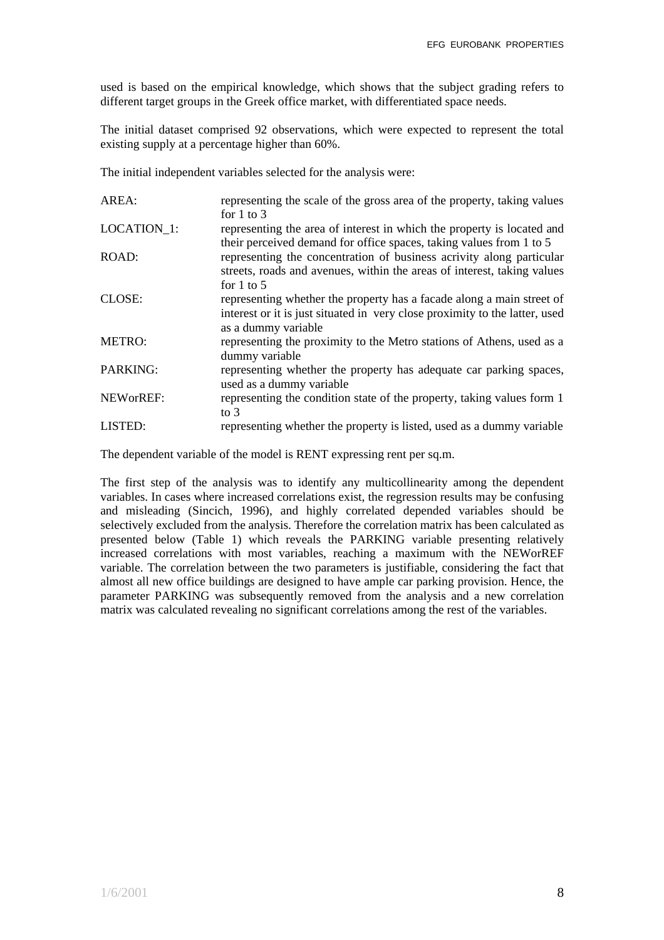used is based on the empirical knowledge, which shows that the subject grading refers to different target groups in the Greek office market, with differentiated space needs.

The initial dataset comprised 92 observations, which were expected to represent the total existing supply at a percentage higher than 60%.

The initial independent variables selected for the analysis were:

| AREA:              | representing the scale of the gross area of the property, taking values<br>for $1$ to $3$                                                                                   |
|--------------------|-----------------------------------------------------------------------------------------------------------------------------------------------------------------------------|
| <b>LOCATION 1:</b> | representing the area of interest in which the property is located and<br>their perceived demand for office spaces, taking values from 1 to 5                               |
| ROAD:              | representing the concentration of business acrivity along particular<br>streets, roads and avenues, within the areas of interest, taking values<br>for $1$ to $5$           |
| CLOSE:             | representing whether the property has a facade along a main street of<br>interest or it is just situated in very close proximity to the latter, used<br>as a dummy variable |
| <b>METRO:</b>      | representing the proximity to the Metro stations of Athens, used as a<br>dummy variable                                                                                     |
| PARKING:           | representing whether the property has adequate car parking spaces,<br>used as a dummy variable                                                                              |
| NEWorREF:          | representing the condition state of the property, taking values form 1<br>to $3$                                                                                            |
| LISTED:            | representing whether the property is listed, used as a dummy variable                                                                                                       |

The dependent variable of the model is RENT expressing rent per sq.m.

The first step of the analysis was to identify any multicollinearity among the dependent variables. In cases where increased correlations exist, the regression results may be confusing and misleading (Sincich, 1996), and highly correlated depended variables should be selectively excluded from the analysis. Therefore the correlation matrix has been calculated as presented below (Table 1) which reveals the PARKING variable presenting relatively increased correlations with most variables, reaching a maximum with the NEWorREF variable. The correlation between the two parameters is justifiable, considering the fact that almost all new office buildings are designed to have ample car parking provision. Hence, the parameter PARKING was subsequently removed from the analysis and a new correlation matrix was calculated revealing no significant correlations among the rest of the variables.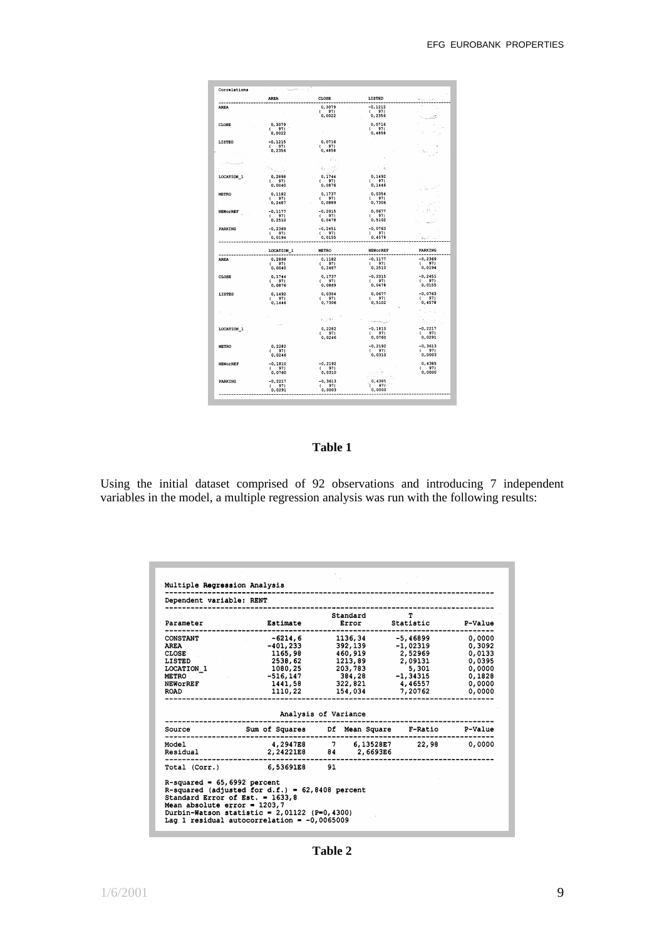|                 | <b>AREA</b>          | CLOSE                | LISTED                     |                     |
|-----------------|----------------------|----------------------|----------------------------|---------------------|
| <b>AREA</b>     |                      | 0,3079               | $-0, 1215$                 |                     |
|                 |                      | ( 97)                | (97)                       |                     |
|                 |                      | 0.0022               | 0,2356                     |                     |
| CLOSE           | 0,3079               |                      | 0,0716                     |                     |
|                 | (97)                 |                      | (97)                       |                     |
|                 | 0,0022               |                      | 0,4858                     |                     |
| LISTED          | $-0, 1215$           | 0,0716               |                            |                     |
|                 | (97)                 | (97)                 |                            |                     |
|                 | 0,2356               | 0,4858               |                            |                     |
|                 |                      |                      |                            |                     |
|                 |                      |                      |                            |                     |
|                 |                      | s, cel               |                            |                     |
| LOCATION 1      | 0,2898               | 0,1744               | 0,1492                     |                     |
|                 | (97)                 | (97)                 | (97)                       |                     |
|                 | 0,0040               | 0,0876               | 0,1446                     |                     |
| <b>METRO</b>    | 0,1182               | 0,1737               | 0,0354                     |                     |
|                 | (97)                 | (97)                 | (97)                       |                     |
|                 | 0,2487               | 0,0889               | 0,7306                     |                     |
| <b>NEWORREF</b> | $-0, 1177$           | $-0, 2015$           | 0,0677                     |                     |
|                 | (97)                 | (97)                 | (97)                       |                     |
|                 | 0,2510               | 0,0478               | 0,5102                     |                     |
| PARKING         | $-0, 2369$           | $-0, 2451$           | $-0,0763$                  |                     |
|                 | (97)<br>0,0194       | (97)<br>0,0155       | (97)<br>0,4578             |                     |
|                 |                      |                      |                            |                     |
|                 | LOCATION 1           | <b>METRO</b>         | <b>NEWOrREF</b><br>------- | PARKING<br>-------- |
| <b>AREA</b>     | 0,2898               | 0,1182               | $-0.1177$                  | $-0,2369$           |
|                 | (97)                 | (97)                 | (97)                       | (97)                |
|                 | 0,0040               | 0,2487               | 0,2510                     | 0,0194              |
| CLOSE           | 0,1744               | 0,1737               | $-0, 2015$                 | $-0, 2451$          |
|                 | (97)<br>0,0876       | (97)<br>0,0889       | (97)<br>0.0478             | ( 97)<br>0.0155     |
|                 |                      |                      |                            |                     |
| LISTED          | 0,1492               | 0.0354               | 0.0677                     | $-0,0763$           |
|                 | $\binom{97}{0,1446}$ | $\binom{97}{0.7306}$ | (97)<br>0,5102             | (97)<br>0,4578      |
|                 |                      |                      |                            |                     |
|                 |                      |                      |                            |                     |
|                 |                      | n jar                |                            | 3,000               |
|                 |                      |                      |                            |                     |
| LOCATION 1      |                      | 0,2282<br>(97)       | $-0,1810$<br>(97)          | $-0, 2217$<br>(97)  |
|                 |                      | 0.0246               | 0,0760                     | 0,0291              |
|                 |                      |                      |                            |                     |
| <b>METRO</b>    | 0,2282<br>(97)       |                      | $-0, 2192$<br>(97)         | $-0, 3613$<br>(97)  |
|                 | 0.0246               |                      | 0,0310                     | 0,0003              |
|                 | $-0.1810$            | $-0, 2192$           |                            | 0,4385              |
| <b>NEWORREF</b> | (97)                 | (97)                 |                            | (97)                |
|                 | 0,0760               | 0,0310               |                            | 0,0000              |
|                 |                      |                      |                            |                     |
|                 |                      |                      |                            |                     |
| <b>PARKING</b>  | $-0,2217$<br>(97)    | $-0, 3613$<br>(97)   | 0,4385<br>$1 - 971$        |                     |

**Table 1**

Using the initial dataset comprised of 92 observations and introducing 7 independent variables in the model, a multiple regression analysis was run with the following results:

| Dependent variable: RENT<br>Parameter                               |                                                                                     | Standard<br>Estimate Error | $\mathbf{T}$<br>Statistic         | P-Value |
|---------------------------------------------------------------------|-------------------------------------------------------------------------------------|----------------------------|-----------------------------------|---------|
| <b>CONSTANT</b>                                                     |                                                                                     |                            | $-6214, 6$ 1136, 34 $-5, 46899$   | 0,0000  |
| AREA                                                                | $-401,233$                                                                          | 392,139                    | $-1,02319$                        | 0,3092  |
| <b>CLOSE</b>                                                        | 1165,98                                                                             | 460,919                    | 2,52969                           | 0.0133  |
| LISTED                                                              | 2538,62                                                                             | 1213,89                    | 2,09131                           | 0,0395  |
| <b>LOCATION 1</b>                                                   | 1080,25                                                                             | 203,783                    | 5,301                             | 0.0000  |
| <b>METRO</b>                                                        | -516.147                                                                            | 384,28 -1,34315            |                                   | 0,1828  |
| <b>NEWOrREF</b>                                                     |                                                                                     | 1441,58 322,821 4,46557    |                                   | 0,0000  |
| ROAD                                                                | 1110,22                                                                             | 154,034                    | 7,20762                           | 0,0000  |
| Source                                                              | Sum of Squares Df Mean Square F-Ratio                                               | Analysis of Variance       |                                   | P-Value |
| Model                                                               |                                                                                     |                            | 4,2947E8 7 6,13528E7 22,98 0,0000 |         |
| Residual                                                            |                                                                                     | 2,24221E8 84 2,6693E6      |                                   |         |
|                                                                     | Total (Corr.) 6,53691E8 91                                                          |                            |                                   |         |
| $R$ -squared = 65,6992 percent<br>Standard Error of Est. = $1633.8$ | R-squared (adjusted for d.f.) = $62,8408$ percent<br>Mean absolute error = $1203.7$ |                            |                                   |         |

**Table 2**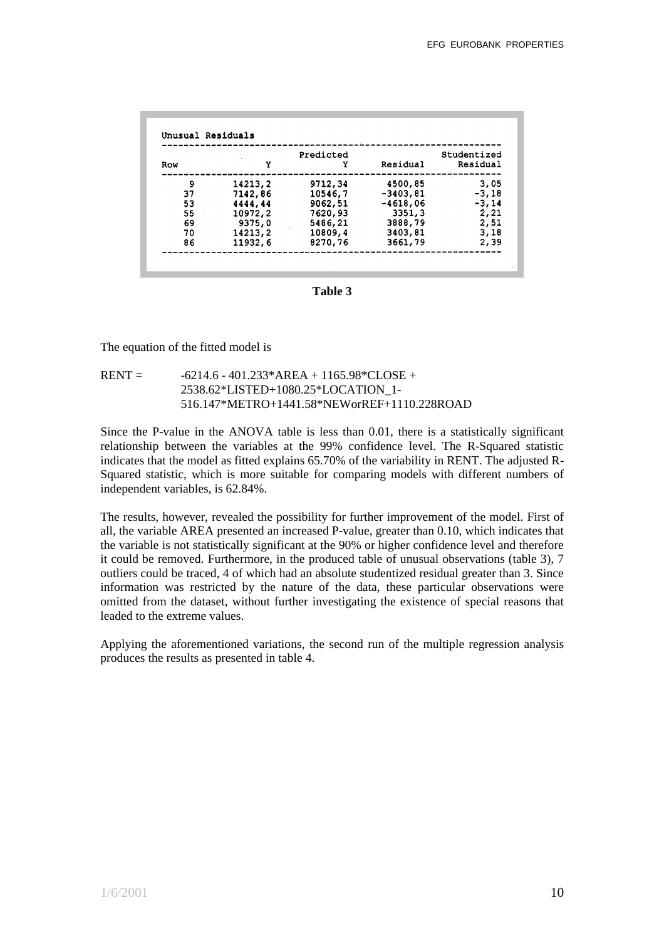|     |         | Predicted |            | Studentized |  |
|-----|---------|-----------|------------|-------------|--|
| Row | Y       | Y         | Residual   | Residual    |  |
| 9   | 14213,2 | 9712,34   | 4500,85    | 3,05        |  |
| 37  | 7142,86 | 10546,7   | $-3403,81$ | $-3,18$     |  |
| 53  | 4444,44 | 9062,51   | $-4618,06$ | -3,14       |  |
| 55  | 10972,2 | 7620,93   | 3351,3     | 2,21        |  |
| 69  | 9375,0  | 5486,21   | 3888,79    | 2,51        |  |
| 70  | 14213,2 | 10809,4   | 3403,81    | 3,18        |  |
| 86  | 11932,6 | 8270,76   | 3661,79    | 2,39        |  |

**Table 3**

The equation of the fitted model is

 $RENT = -6214.6 - 401.233*AREA + 1165.98*CLOSE +$ 2538.62\*LISTED+1080.25\*LOCATION\_1- 516.147\*METRO+1441.58\*NEWorREF+1110.228ROAD

Since the P-value in the ANOVA table is less than 0.01, there is a statistically significant relationship between the variables at the 99% confidence level. The R-Squared statistic indicates that the model as fitted explains 65.70% of the variability in RENT. The adjusted R-Squared statistic, which is more suitable for comparing models with different numbers of independent variables, is 62.84%.

The results, however, revealed the possibility for further improvement of the model. First of all, the variable AREA presented an increased P-value, greater than 0.10, which indicates that the variable is not statistically significant at the 90% or higher confidence level and therefore it could be removed. Furthermore, in the produced table of unusual observations (table 3), 7 outliers could be traced, 4 of which had an absolute studentized residual greater than 3. Since information was restricted by the nature of the data, these particular observations were omitted from the dataset, without further investigating the existence of special reasons that leaded to the extreme values.

Applying the aforementioned variations, the second run of the multiple regression analysis produces the results as presented in table 4.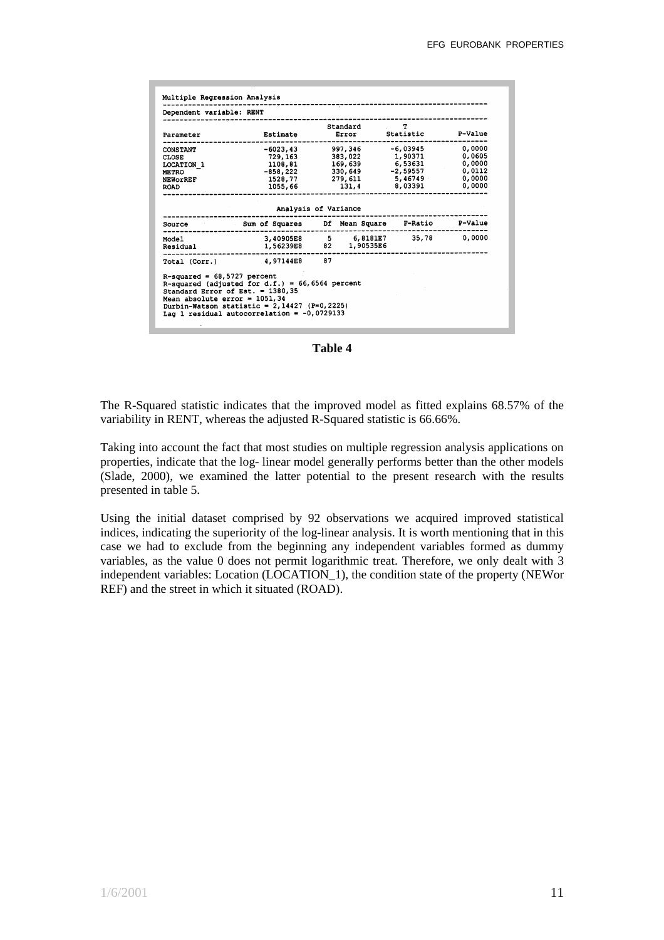| -6023,43<br>729,163                       |                                | 997,346 -6,03945                                                           |                                                                                                                                                 |
|-------------------------------------------|--------------------------------|----------------------------------------------------------------------------|-------------------------------------------------------------------------------------------------------------------------------------------------|
| 1108,81<br>-858,222<br>1528,77<br>1055,66 | 383,022<br>169,639<br>330,649  | 1,90371<br>6,53631<br>-2,59557<br>5,46749                                  | 0.0000<br>0,0605<br>0.0000<br>0,0112<br>0,0000<br>0,0000                                                                                        |
|                                           |                                |                                                                            |                                                                                                                                                 |
|                                           |                                |                                                                            |                                                                                                                                                 |
|                                           |                                |                                                                            |                                                                                                                                                 |
|                                           |                                |                                                                            |                                                                                                                                                 |
|                                           | $R$ -squared = 68,5727 percent | Analysis of Variance<br>--------------------<br>Total (Corr.) 4,97144E8 87 | 279,611<br>131,4 8,03391<br>Source Sum Of Squares Df Mean Square F-Ratio P-Value<br>3,40905E8 5 6,8181E7 35,78 0,0000<br>1,56239E8 82 1,90535E6 |

**Table 4**

The R-Squared statistic indicates that the improved model as fitted explains 68.57% of the variability in RENT, whereas the adjusted R-Squared statistic is 66.66%.

Taking into account the fact that most studies on multiple regression analysis applications on properties, indicate that the log- linear model generally performs better than the other models (Slade, 2000), we examined the latter potential to the present research with the results presented in table 5.

Using the initial dataset comprised by 92 observations we acquired improved statistical indices, indicating the superiority of the log-linear analysis. It is worth mentioning that in this case we had to exclude from the beginning any independent variables formed as dummy variables, as the value 0 does not permit logarithmic treat. Therefore, we only dealt with 3 independent variables: Location (LOCATION\_1), the condition state of the property (NEWor REF) and the street in which it situated (ROAD).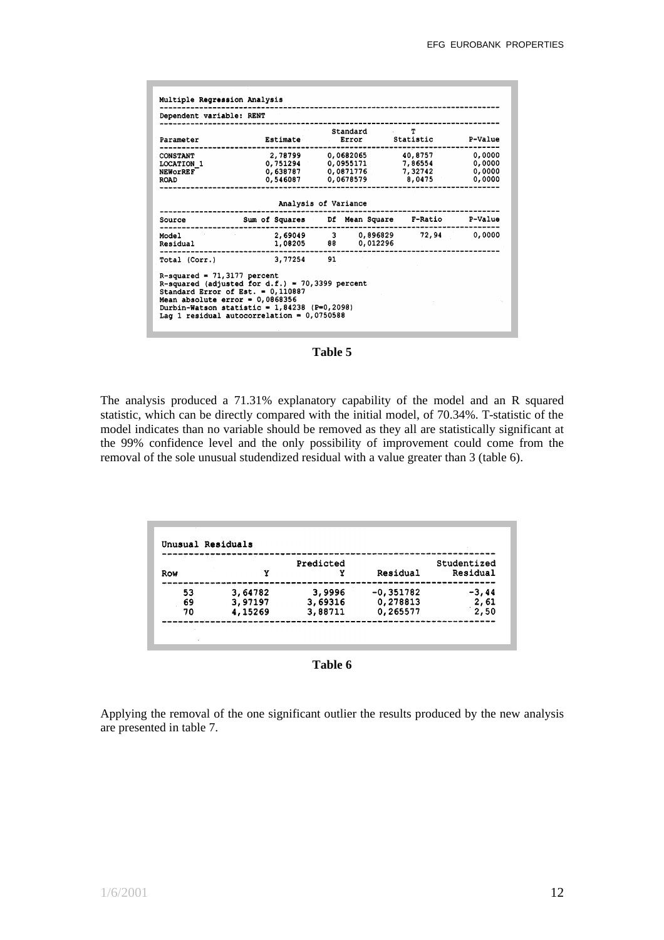| Dependent variable: RENT                                            |                                                                                                                                                                                          |              |                        |                                                                                    |                                      |
|---------------------------------------------------------------------|------------------------------------------------------------------------------------------------------------------------------------------------------------------------------------------|--------------|------------------------|------------------------------------------------------------------------------------|--------------------------------------|
| Parameter                                                           | Estimate                                                                                                                                                                                 | $\Delta\phi$ | Standard<br>Error      | $\sim$ $\sim$ 40 $\sim$<br>Statistic                                               | <b>P-Value</b>                       |
| <b>CONSTANT</b><br>LOCATION 1<br><b>NEWORREF</b><br><b>ROAD</b>     | 0,638787<br>0,546087                                                                                                                                                                     |              | 0.0871776<br>0,0678579 | 2,78799 0,0682065 40,8757<br>$0,751294$ $0,0955171$ $7,86554$<br>7,32742<br>8,0475 | 0,0000<br>0,0000<br>0,0000<br>0,0000 |
|                                                                     | Analysis of Variance                                                                                                                                                                     |              |                        |                                                                                    |                                      |
| Source                                                              | Sum of Squares Df Mean Square                                                                                                                                                            |              |                        | <b>F-Ratio</b>                                                                     | P-Value                              |
| Model<br>Residual                                                   | 2,69049 3 0,896829<br>1,08205                                                                                                                                                            |              | 88 0,012296            | 72,94                                                                              | 0.0000                               |
| Total (Corr.)                                                       | 3,77254                                                                                                                                                                                  | 91           |                        |                                                                                    |                                      |
| $R$ -squared = 71,3177 percent<br>Mean absolute $error = 0,0868356$ | R-squared (adjusted for d.f.) = 70,3399 percent<br>Standard Error of Est. = $0,110887$<br>Durbin-Watson statistic = $1,84238$ (P=0,2098)<br>Laq 1 residual autocorrelation = $0,0750588$ |              |                        |                                                                                    |                                      |

**Table 5**

The analysis produced a 71.31% explanatory capability of the model and an R squared statistic, which can be directly compared with the initial model, of 70.34%. T-statistic of the model indicates than no variable should be removed as they all are statistically significant at the 99% confidence level and the only possibility of improvement could come from the removal of the sole unusual studendized residual with a value greater than 3 (table 6).

|     |         | Predicted |             | Studentized |
|-----|---------|-----------|-------------|-------------|
| Row | Y       | Y         | Residual    | Residual    |
| 53  | 3,64782 | 3,9996    | $-0,351782$ | $-3,44$     |
| 69  | 3,97197 | 3,69316   | 0,278813    | 2,61        |
| 70  | 4,15269 | 3,88711   | 0,265577    | 2,50        |

**Table 6**

Applying the removal of the one significant outlier the results produced by the new analysis are presented in table 7.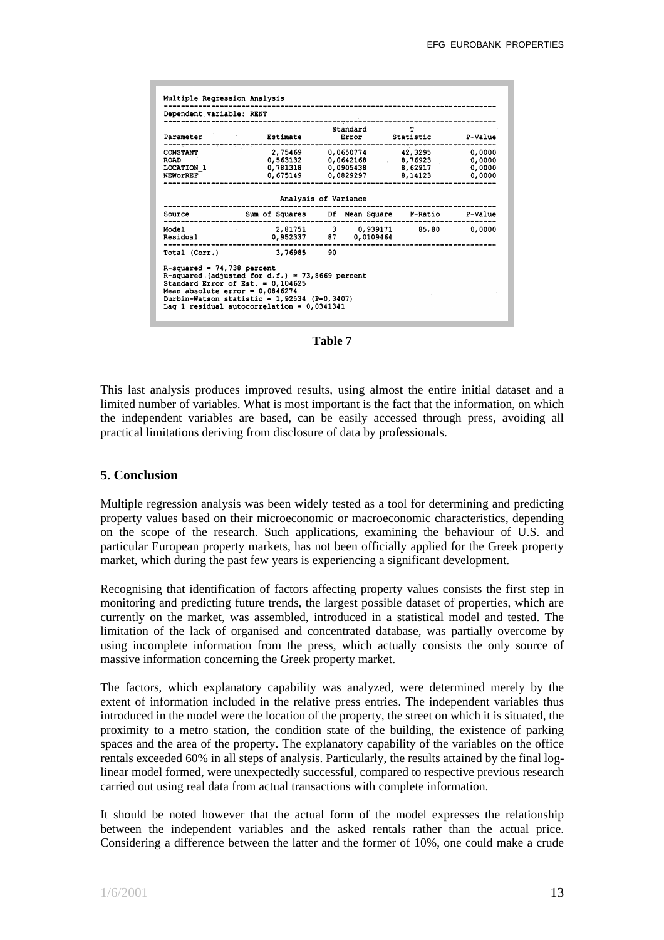| Dependent variable: RENT                                                   |                                                                                                                                                                                            |          | ----------------------                                             |                            |
|----------------------------------------------------------------------------|--------------------------------------------------------------------------------------------------------------------------------------------------------------------------------------------|----------|--------------------------------------------------------------------|----------------------------|
| Parameter                                                                  | <b>Estimate Error Statistic</b>                                                                                                                                                            | Standard | T                                                                  | P-Value                    |
| -------<br><b>CONSTANT</b><br><b>ROAD</b><br><b>LOCATION 1</b><br>NEWOrREF |                                                                                                                                                                                            |          | $0,781318$ $0,0905438$ $8,62917$<br>$0,675149$ $0,0829297$ 8,14123 | 0,0000<br>0,0000<br>0,0000 |
|                                                                            | Analysis of Variance                                                                                                                                                                       |          |                                                                    |                            |
| Source                                                                     | Sum of Squares Df Mean Square F-Ratio P-Value                                                                                                                                              |          |                                                                    |                            |
| Residual                                                                   | Model  2,81751 3 0,939171 85,80 0,0000<br>0,952337 87 0,0109464                                                                                                                            |          |                                                                    |                            |
|                                                                            | Total (Corr.) 3,76985 90                                                                                                                                                                   |          |                                                                    |                            |
| $R$ -squared = 74,738 percent<br>Mean absolute error = $0,0846274$         | R-squared (adjusted for d.f.) = $73,8669$ percent<br>Standard Error of Est. = $0.104625$<br>Durbin-Watson statistic = $1,92534$ (P=0,3407)<br>Lag 1 residual autocorrelation = $0,0341341$ |          |                                                                    |                            |

**Table 7**

This last analysis produces improved results, using almost the entire initial dataset and a limited number of variables. What is most important is the fact that the information, on which the independent variables are based, can be easily accessed through press, avoiding all practical limitations deriving from disclosure of data by professionals.

## **5. Conclusion**

Multiple regression analysis was been widely tested as a tool for determining and predicting property values based on their microeconomic or macroeconomic characteristics, depending on the scope of the research. Such applications, examining the behaviour of U.S. and particular European property markets, has not been officially applied for the Greek property market, which during the past few years is experiencing a significant development.

Recognising that identification of factors affecting property values consists the first step in monitoring and predicting future trends, the largest possible dataset of properties, which are currently on the market, was assembled, introduced in a statistical model and tested. The limitation of the lack of organised and concentrated database, was partially overcome by using incomplete information from the press, which actually consists the only source of massive information concerning the Greek property market.

The factors, which explanatory capability was analyzed, were determined merely by the extent of information included in the relative press entries. The independent variables thus introduced in the model were the location of the property, the street on which it is situated, the proximity to a metro station, the condition state of the building, the existence of parking spaces and the area of the property. The explanatory capability of the variables on the office rentals exceeded 60% in all steps of analysis. Particularly, the results attained by the final loglinear model formed, were unexpectedly successful, compared to respective previous research carried out using real data from actual transactions with complete information.

It should be noted however that the actual form of the model expresses the relationship between the independent variables and the asked rentals rather than the actual price. Considering a difference between the latter and the former of 10%, one could make a crude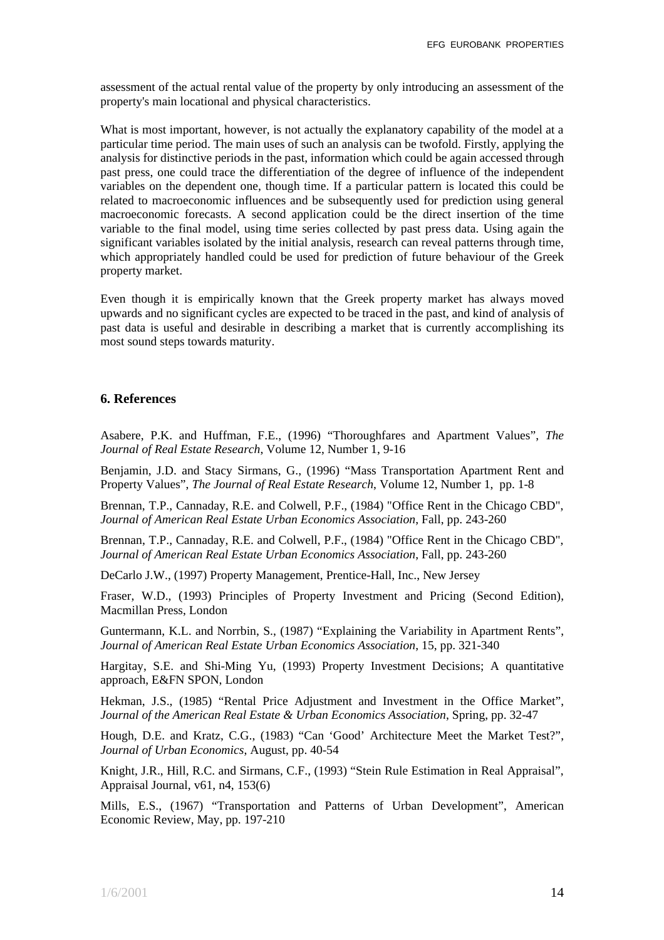assessment of the actual rental value of the property by only introducing an assessment of the property's main locational and physical characteristics.

What is most important, however, is not actually the explanatory capability of the model at a particular time period. The main uses of such an analysis can be twofold. Firstly, applying the analysis for distinctive periods in the past, information which could be again accessed through past press, one could trace the differentiation of the degree of influence of the independent variables on the dependent one, though time. If a particular pattern is located this could be related to macroeconomic influences and be subsequently used for prediction using general macroeconomic forecasts. A second application could be the direct insertion of the time variable to the final model, using time series collected by past press data. Using again the significant variables isolated by the initial analysis, research can reveal patterns through time, which appropriately handled could be used for prediction of future behaviour of the Greek property market.

Even though it is empirically known that the Greek property market has always moved upwards and no significant cycles are expected to be traced in the past, and kind of analysis of past data is useful and desirable in describing a market that is currently accomplishing its most sound steps towards maturity.

## **6. References**

Asabere, P.K. and Huffman, F.E., (1996) "Thoroughfares and Apartment Values", *The Journal of Real Estate Research*, Volume 12, Number 1, 9-16

Benjamin, J.D. and Stacy Sirmans, G., (1996) "Mass Transportation Apartment Rent and Property Values", *The Journal of Real Estate Research*, Volume 12, Number 1, pp. 1-8

Brennan, T.P., Cannaday, R.E. and Colwell, P.F., (1984) "Office Rent in the Chicago CBD", *Journal of American Real Estate Urban Economics Association*, Fall, pp. 243-260

Brennan, T.P., Cannaday, R.E. and Colwell, P.F., (1984) "Office Rent in the Chicago CBD", *Journal of American Real Estate Urban Economics Association*, Fall, pp. 243-260

DeCarlo J.W., (1997) Property Management, Prentice-Hall, Inc., New Jersey

Fraser, W.D., (1993) Principles of Property Investment and Pricing (Second Edition), Macmillan Press, London

Guntermann, K.L. and Norrbin, S., (1987) "Explaining the Variability in Apartment Rents", *Journal of American Real Estate Urban Economics Association*, 15, pp. 321-340

Hargitay, S.E. and Shi-Ming Yu, (1993) Property Investment Decisions; A quantitative approach, E&FN SPON, London

Hekman, J.S., (1985) "Rental Price Adjustment and Investment in the Office Market", *Journal of the American Real Estate & Urban Economics Association*, Spring, pp. 32-47

Hough, D.E. and Kratz, C.G., (1983) "Can 'Good' Architecture Meet the Market Test?", *Journal of Urban Economics*, August, pp. 40-54

Knight, J.R., Hill, R.C. and Sirmans, C.F., (1993) "Stein Rule Estimation in Real Appraisal", Appraisal Journal, v61, n4, 153(6)

Mills, E.S., (1967) "Transportation and Patterns of Urban Development", American Economic Review, May, pp. 197-210